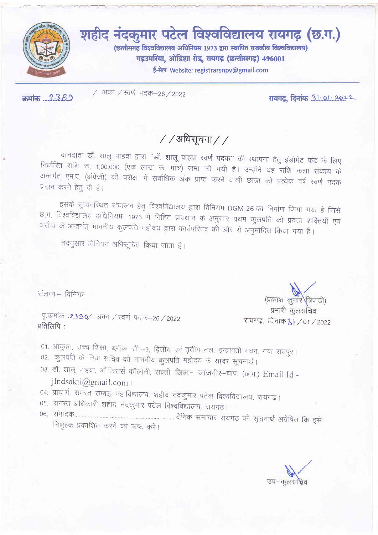

क्रमांक 2389

/ अका / स्वर्ण पदक-26 / 2022

रायगढ़, दिनांक 3.1..0.1...2022

 $//$ अधिसूचना//

दानदाता डॉ. शालू पाहवा द्वारा "डॉ. शालू पाहवा स्वर्ण पदक" की स्थापना हेतु इंडोमेंट फंड के लिए निर्धारित राशि रू. 1,00,000 (एक लाख रू. मात्र) जमा की गयी है। उन्होंने यह राशि कला संकाय के अन्तर्गत् एम.ए. (अंग्रेजी) की परीक्षा में सर्वाधिक अंक प्राप्त करने वाली छात्रा को प्रत्येक वर्ष स्वर्ण पदक प्रदान करने हेतू दी है।

इसके सुव्यवस्थित संचालन हेतु विश्वविद्यालय द्वारा विनियम DGM-26 का निर्माण किया गया है जिसे छ ग. विश्वविद्यालय अधिनियम, 1973 में निहित प्रावधान के अनुसार प्रथम कुलपति को प्रदत्त शक्तियाँ एवं कर्तव्य के अन्तर्गत् माननीय कुलपति गहोदय द्वारा कार्यपरिषद की ओर से अनुमोदित किया गया है।

तदनुसार विनियम अधिसूचित किया जाता है।

संलग्नः – विनियम

पू.कमांक :2390/ अका./ स्वर्ण पदक-26/2022 प्रतिलिपि:

01. आयुक्त, उच्च शिक्षा, ब्लॉक-सी.-3, द्वितीय एवं तृतीय तल, इन्द्रावती भवन, नवा रायपूर।

- 02. कुलपति के निज सचिव को माननीय कुलपति महोदय के सादर सूचनार्थ।
- 03. डॉ. शालू पाहवा, ऑफिसर्स कॉलोनी, सक्ती, जिला– जांजगीर–चांपा (छ.ग.) Email Id jlndsakti@gmail.com |
- 04. प्राचार्य, समस्त सम्बद्ध महाविद्यालय, शहीद नंदकुमार पटेल विश्वविद्यालय, रायगढ़।
- 05. समस्त अधिकारी शहीद नंदकुमार पटेल विश्वविद्यालय, रायगढ़।
- निशुल्क प्रकाशित करने का कष्ट करें।

(प्रकाश कुमार त्रिपाठी) प्रभारी कुलसचिव रायगढ़, दिनांक 31 / 01 / 2022